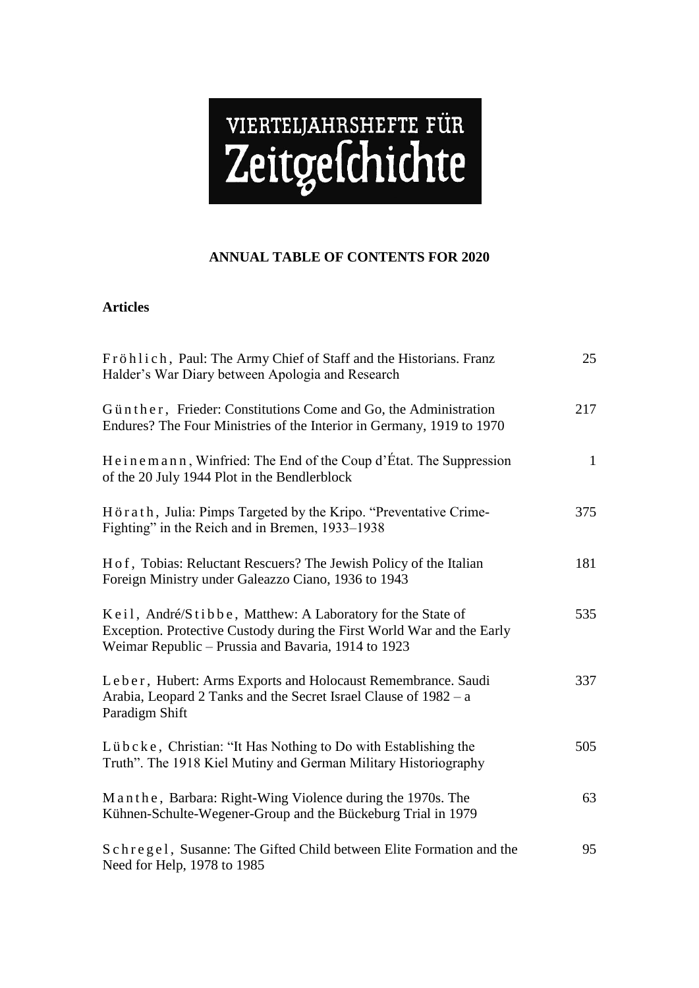# VIERTELJAHRSHEFTE FÜR

# **ANNUAL TABLE OF CONTENTS FOR 2020**

## **Articles**

| Fröhlich, Paul: The Army Chief of Staff and the Historians. Franz<br>Halder's War Diary between Apologia and Research                                                                       | 25           |
|---------------------------------------------------------------------------------------------------------------------------------------------------------------------------------------------|--------------|
| Günther, Frieder: Constitutions Come and Go, the Administration<br>Endures? The Four Ministries of the Interior in Germany, 1919 to 1970                                                    | 217          |
| Heinemann, Winfried: The End of the Coup d'État. The Suppression<br>of the 20 July 1944 Plot in the Bendlerblock                                                                            | $\mathbf{1}$ |
| Hörath, Julia: Pimps Targeted by the Kripo. "Preventative Crime-<br>Fighting" in the Reich and in Bremen, 1933–1938                                                                         | 375          |
| H of, Tobias: Reluctant Rescuers? The Jewish Policy of the Italian<br>Foreign Ministry under Galeazzo Ciano, 1936 to 1943                                                                   | 181          |
| Keil, André/Stibbe, Matthew: A Laboratory for the State of<br>Exception. Protective Custody during the First World War and the Early<br>Weimar Republic - Prussia and Bavaria, 1914 to 1923 | 535          |
| Leber, Hubert: Arms Exports and Holocaust Remembrance. Saudi<br>Arabia, Leopard 2 Tanks and the Secret Israel Clause of 1982 – a<br>Paradigm Shift                                          | 337          |
| Lübcke, Christian: "It Has Nothing to Do with Establishing the<br>Truth". The 1918 Kiel Mutiny and German Military Historiography                                                           | 505          |
| Manthe, Barbara: Right-Wing Violence during the 1970s. The<br>Kühnen-Schulte-Wegener-Group and the Bückeburg Trial in 1979                                                                  | 63           |
| Schregel, Susanne: The Gifted Child between Elite Formation and the<br>Need for Help, 1978 to 1985                                                                                          | 95           |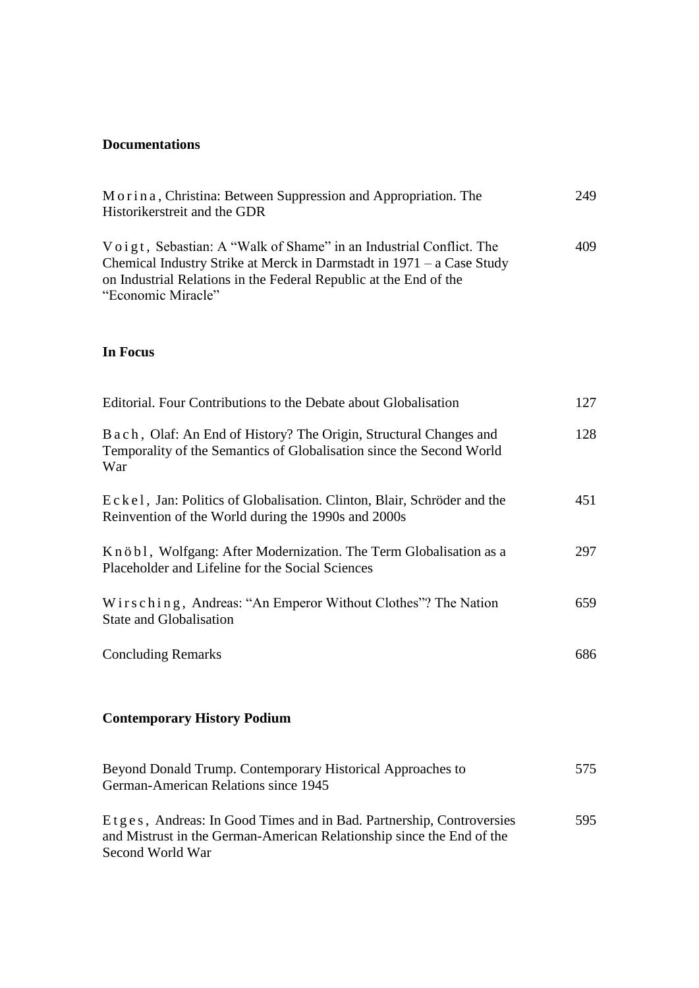# **Documentations**

| Morina, Christina: Between Suppression and Appropriation. The           | 249 |
|-------------------------------------------------------------------------|-----|
| Historikerstreit and the GDR                                            |     |
|                                                                         |     |
| Voigt, Sebastian: A "Walk of Shame" in an Industrial Conflict. The      | 409 |
| Chemical Industry Strike at Merck in Darmstadt in $1971 - a$ Case Study |     |
| on Industrial Relations in the Federal Republic at the End of the       |     |
| "Economic Miracle"                                                      |     |

### **In Focus**

| Editorial. Four Contributions to the Debate about Globalisation                                                                                     | 127 |
|-----------------------------------------------------------------------------------------------------------------------------------------------------|-----|
| B a c h, Olaf: An End of History? The Origin, Structural Changes and<br>Temporality of the Semantics of Globalisation since the Second World<br>War | 128 |
| Eckel, Jan: Politics of Globalisation. Clinton, Blair, Schröder and the<br>Reinvention of the World during the 1990s and 2000s                      | 451 |
| Knöbl, Wolfgang: After Modernization. The Term Globalisation as a<br>Placeholder and Lifeline for the Social Sciences                               | 297 |
| Wirsching, Andreas: "An Emperor Without Clothes"? The Nation<br><b>State and Globalisation</b>                                                      | 659 |
| <b>Concluding Remarks</b>                                                                                                                           | 686 |
| <b>Contemporary History Podium</b>                                                                                                                  |     |
| Beyond Donald Trump. Contemporary Historical Approaches to<br>German-American Relations since 1945                                                  | 575 |
| Etges, Andreas: In Good Times and in Bad. Partnership, Controversies                                                                                | 595 |

| Beyond Donald Trump. Contemporary Historical Approaches to            | 575. |
|-----------------------------------------------------------------------|------|
| German-American Relations since 1945                                  |      |
| Etges, Andreas: In Good Times and in Bad. Partnership, Controversies  | 595  |
| and Mistrust in the German-American Relationship since the End of the |      |
| Second World War                                                      |      |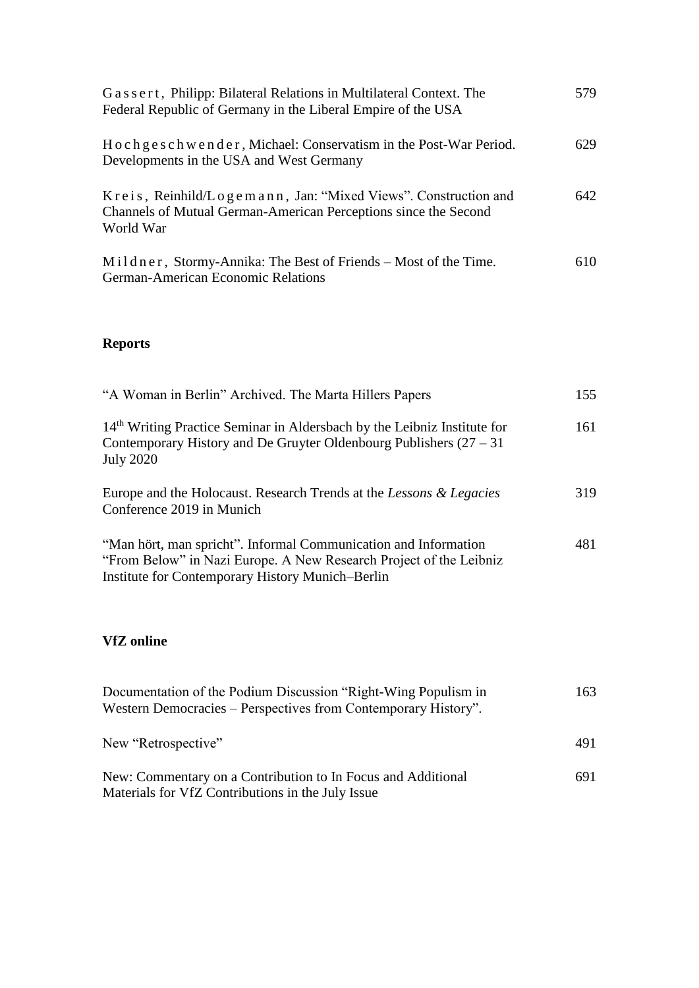| Gassert, Philipp: Bilateral Relations in Multilateral Context. The<br>Federal Republic of Germany in the Liberal Empire of the USA             | 579 |
|------------------------------------------------------------------------------------------------------------------------------------------------|-----|
| Hochgeschwender, Michael: Conservatism in the Post-War Period.<br>Developments in the USA and West Germany                                     | 629 |
| Kreis, Reinhild/Logemann, Jan: "Mixed Views". Construction and<br>Channels of Mutual German-American Perceptions since the Second<br>World War | 642 |
| Mildner, Stormy-Annika: The Best of Friends – Most of the Time.<br>German-American Economic Relations                                          | 610 |

# **Reports**

| "A Woman in Berlin" Archived. The Marta Hillers Papers                                                                                                                                    | 155 |
|-------------------------------------------------------------------------------------------------------------------------------------------------------------------------------------------|-----|
| 14 <sup>th</sup> Writing Practice Seminar in Aldersbach by the Leibniz Institute for<br>Contemporary History and De Gruyter Oldenbourg Publishers $(27 – 31)$<br><b>July 2020</b>         | 161 |
| Europe and the Holocaust. Research Trends at the Lessons & Legacies<br>Conference 2019 in Munich                                                                                          | 319 |
| "Man hört, man spricht". Informal Communication and Information<br>"From Below" in Nazi Europe. A New Research Project of the Leibniz<br>Institute for Contemporary History Munich-Berlin | 481 |

# **VfZ online**

| Documentation of the Podium Discussion "Right-Wing Populism in<br>Western Democracies – Perspectives from Contemporary History". | 163 |
|----------------------------------------------------------------------------------------------------------------------------------|-----|
| New "Retrospective"                                                                                                              | 491 |
| New: Commentary on a Contribution to In Focus and Additional<br>Materials for VfZ Contributions in the July Issue                | 691 |